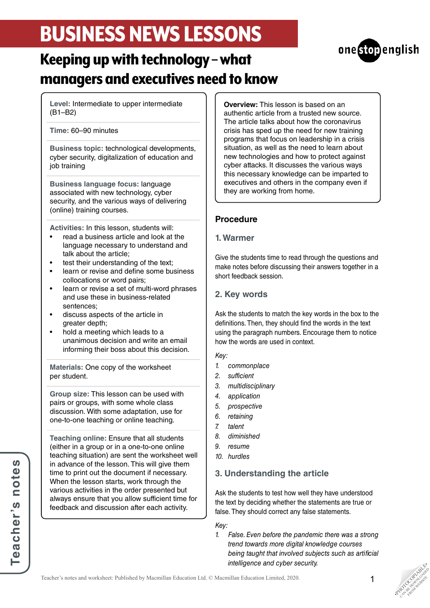# BUSINESS NEWS LESSONS



# Keeping up with technology – what managers and executives need to know

**Level:** Intermediate to upper intermediate (B1–B2)

**Time:** 60–90 minutes

**Business topic:** technological developments, cyber security, digitalization of education and job training

**Business language focus:** language associated with new technology, cyber security, and the various ways of delivering (online) training courses.

**Activities:** In this lesson, students will:

- read a business article and look at the language necessary to understand and talk about the article;
- test their understanding of the text;
- learn or revise and define some business collocations or word pairs;
- learn or revise a set of multi-word phrases and use these in business-related sentences;
- discuss aspects of the article in greater depth;
- hold a meeting which leads to a unanimous decision and write an email informing their boss about this decision.

**Materials:** One copy of the worksheet per student.

**Group size:** This lesson can be used with pairs or groups, with some whole class discussion. With some adaptation, use for one-to-one teaching or online teaching.

**Teaching online:** Ensure that all students (either in a group or in a one-to-one online teaching situation) are sent the worksheet well in advance of the lesson. This will give them time to print out the document if necessary. When the lesson starts, work through the various activities in the order presented but always ensure that you allow sufficient time for feedback and discussion after each activity.

**Teacher's notes**

Teacher's notes

**Overview:** This lesson is based on an authentic article from a trusted new source. The article talks about how the coronavirus crisis has sped up the need for new training programs that focus on leadership in a crisis situation, as well as the need to learn about new technologies and how to protect against cyber attacks. It discusses the various ways this necessary knowledge can be imparted to executives and others in the company even if they are working from home.

## **Procedure**

#### **1. Warmer**

Give the students time to read through the questions and make notes before discussing their answers together in a short feedback session.

## **2. Key words**

Ask the students to match the key words in the box to the definitions. Then, they should find the words in the text using the paragraph numbers. Encourage them to notice how the words are used in context.

#### *Key:*

- *1. commonplace*
- *2. sufficient*
- *3. multidisciplinary*
- *4. application*
- *5. prospective*
- *6. retaining*
- *7. talent*
- *8. diminished*
- *9. resume*
- *10. hurdles*

# **3. Understanding the article**

Ask the students to test how well they have understood the text by deciding whether the statements are true or false. They should correct any false statements.

*Key:*

*1. False. Even before the pandemic there was a strong trend towards more digital knowledge courses being taught that involved subjects such as artificial intelligence and cyber security.*



**PHOTOGRAPHICATE** CAN BE DOWNLOAD FROM WEBSITE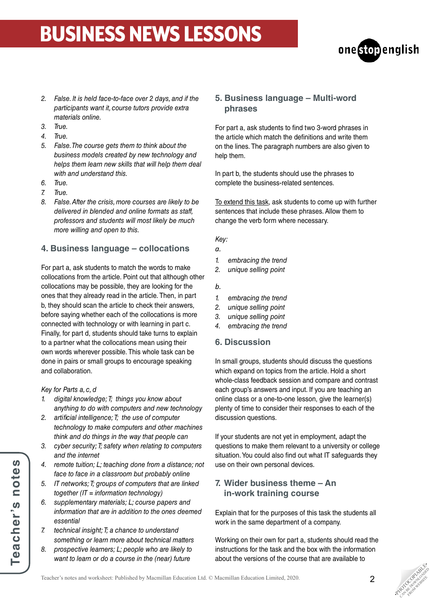# BUSINESS NEWS LESSONS



- *2. False. It is held face-to-face over 2 days, and if the participants want it, course tutors provide extra materials online.*
- *3. True.*
- *4. True.*
- *5. False. The course gets them to think about the business models created by new technology and helps them learn new skills that will help them deal with and understand this.*
- *6. True.*
- *7. True.*
- *8. False. After the crisis, more courses are likely to be delivered in blended and online formats as staff, professors and students will most likely be much more willing and open to this.*

# **4. Business language – collocations**

For part a, ask students to match the words to make collocations from the article. Point out that although other collocations may be possible, they are looking for the ones that they already read in the article. Then, in part b, they should scan the article to check their answers, before saying whether each of the collocations is more connected with technology or with learning in part c. Finally, for part d, students should take turns to explain to a partner what the collocations mean using their own words wherever possible. This whole task can be done in pairs or small groups to encourage speaking and collaboration.

#### *Key for Parts a, c, d*

- *1. digital knowledge; T; things you know about anything to do with computers and new technology*
- *2. artificial intelligence; T; the use of computer technology to make computers and other machines think and do things in the way that people can*
- *3. cyber security; T; safety when relating to computers and the internet*
- *4. remote tuition; L; teaching done from a distance; not face to face in a classroom but probably online*
- *5. IT networks; T; groups of computers that are linked together (IT = information technology)*
- *6. supplementary materials; L; course papers and information that are in addition to the ones deemed essential*
- *7. technical insight; T; a chance to understand something or learn more about technical matters*
- *8. prospective learners; L; people who are likely to want to learn or do a course in the (near) future*

#### **5. Business language – Multi-word phrases**

For part a, ask students to find two 3-word phrases in the article which match the definitions and write them on the lines. The paragraph numbers are also given to help them.

In part b, the students should use the phrases to complete the business-related sentences.

To extend this task, ask students to come up with further sentences that include these phrases. Allow them to change the verb form where necessary.

#### *Key:*

- *a.*
- *1. embracing the trend*
- *2. unique selling point*
- *b.*
- *1. embracing the trend*
- *2. unique selling point*
- *3. unique selling point*
- *4. embracing the trend*

### **6. Discussion**

In small groups, students should discuss the questions which expand on topics from the article. Hold a short whole-class feedback session and compare and contrast each group's answers and input. If you are teaching an online class or a one-to-one lesson, give the learner(s) plenty of time to consider their responses to each of the discussion questions.

If your students are not yet in employment, adapt the questions to make them relevant to a university or college situation. You could also find out what IT safeguards they use on their own personal devices.

### **7. Wider business theme – An in-work training course**

Explain that for the purposes of this task the students all work in the same department of a company.

Working on their own for part a, students should read the instructions for the task and the box with the information about the versions of the course that are available to

**PHOTOGRAPHICATE** CAN BE DOWNLOAD FROM WEBSITE